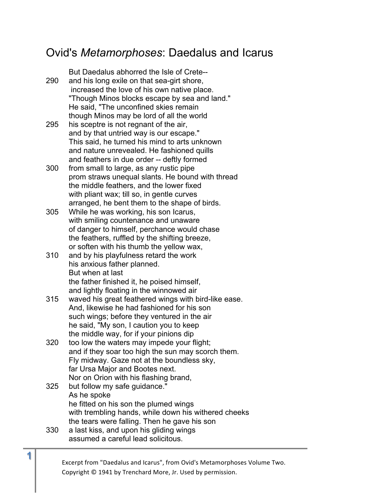## Ovid's *Metamorphoses*: Daedalus and Icarus

But Daedalus abhorred the Isle of Crete-- 290 and his long exile on that sea-girt shore, increased the love of his own native place. "Though Minos blocks escape by sea and land." He said, "The unconfined skies remain though Minos may be lord of all the world 295 his sceptre is not regnant of the air, and by that untried way is our escape." This said, he turned his mind to arts unknown and nature unrevealed. He fashioned quills and feathers in due order -- deftly formed

- 300 from small to large, as any rustic pipe prom straws unequal slants. He bound with thread the middle feathers, and the lower fixed with pliant wax; till so, in gentle curves arranged, he bent them to the shape of birds.
- 305 While he was working, his son Icarus, with smiling countenance and unaware of danger to himself, perchance would chase the feathers, ruffled by the shifting breeze, or soften with his thumb the yellow wax,
- 310 and by his playfulness retard the work his anxious father planned. But when at last the father finished it, he poised himself, and lightly floating in the winnowed air
- 315 waved his great feathered wings with bird-like ease. And, likewise he had fashioned for his son such wings; before they ventured in the air he said, "My son, I caution you to keep the middle way, for if your pinions dip
- 320 too low the waters may impede your flight; and if they soar too high the sun may scorch them. Fly midway. Gaze not at the boundless sky, far Ursa Major and Bootes next. Nor on Orion with his flashing brand,
- 325 but follow my safe guidance." As he spoke he fitted on his son the plumed wings with trembling hands, while down his withered cheeks the tears were falling. Then he gave his son 330 a last kiss, and upon his gliding wings
- assumed a careful lead solicitous.

Excerpt from "Daedalus and Icarus", from Ovid's Metamorphoses Volume Two. Copyright  $\odot$  1941 by Trenchard More, Jr. Used by permission.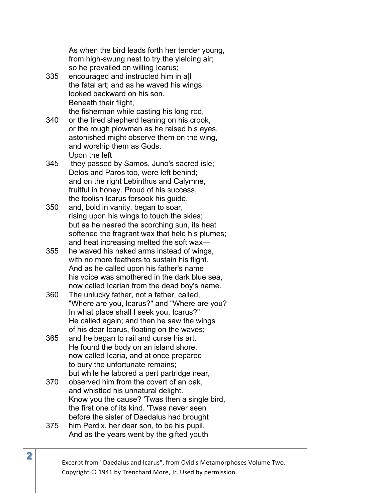As when the bird leads forth her tender young, from high-swung nest to try the yielding air; so he prevailed on willing Icarus;

- 335 encouraged and instructed him in a]l the fatal art; and as he waved his wings looked backward on his son. Beneath their flight, the fisherman while casting his long rod,
- 340 or the tired shepherd leaning on his crook, or the rough plowman as he raised his eyes, astonished might observe them on the wing, and worship them as Gods. Upon the left
- 345 they passed by Samos, Juno's sacred isle; Delos and Paros too, were left behind; and on the right Lebinthus and Calymne, fruitful in honey. Proud of his success, the foolish Icarus forsook his guide,
- 350 and, bold in vanity, began to soar, rising upon his wings to touch the skies; but as he neared the scorching sun, its heat softened the fragrant wax that held his plumes; and heat increasing melted the soft wax—
- 355 he waved his naked arms instead of wings, with no more feathers to sustain his flight. And as he called upon his father's name his voice was smothered in the dark blue sea, now called Icarian from the dead boy's name.
- 360 The unlucky father, not a father, called, "Where are you, Icarus?" and "Where are you? In what place shall I seek you, Icarus?" He called again; and then he saw the wings of his dear Icarus, floating on the waves;
- 365 and he began to rail and curse his art. He found the body on an island shore, now called Icaria, and at once prepared to bury the unfortunate remains; but while he labored a pert partridge near,
- 370 observed him from the covert of an oak, and whistled his unnatural delight. Know you the cause? 'Twas then a single bird, the first one of its kind. 'Twas never seen before the sister of Daedalus had brought
- 375 him Perdix, her dear son, to be his pupil. And as the years went by the gifted youth

Excerpt from "Daedalus and Icarus", from Ovid's Metamorphoses Volume Two. Copyright  $©$  1941 by Trenchard More, Jr. Used by permission.